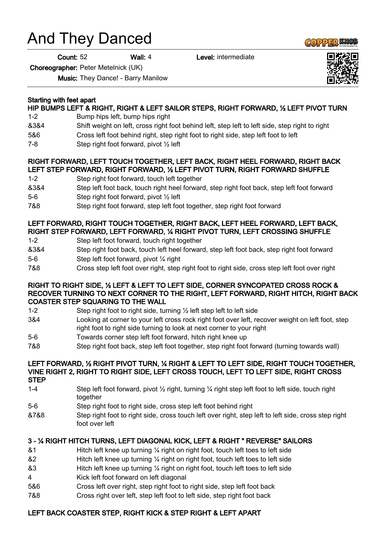# And They Danced

Count: 52 Wall: 4 Level: intermediate

Choreographer: Peter Metelnick (UK)

Music: They Dance! - Barry Manilow

## Starting with feet apart

## HIP BUMPS LEFT & RIGHT, RIGHT & LEFT SAILOR STEPS, RIGHT FORWARD, ½ LEFT PIVOT TURN

- 1-2 Bump hips left, bump hips right
- &3&4 Shift weight on left, cross right foot behind left, step left to left side, step right to right
- 5&6 Cross left foot behind right, step right foot to right side, step left foot to left
- 7-8 Step right foot forward, pivot ½ left

## RIGHT FORWARD, LEFT TOUCH TOGETHER, LEFT BACK, RIGHT HEEL FORWARD, RIGHT BACK LEFT STEP FORWARD, RIGHT FORWARD, ½ LEFT PIVOT TURN, RIGHT FORWARD SHUFFLE

- 1-2 Step right foot forward, touch left together
- &3&4 Step left foot back, touch right heel forward, step right foot back, step left foot forward
- 5-6 Step right foot forward, pivot ½ left
- 7&8 Step right foot forward, step left foot together, step right foot forward

#### LEFT FORWARD, RIGHT TOUCH TOGETHER, RIGHT BACK, LEFT HEEL FORWARD, LEFT BACK, RIGHT STEP FORWARD, LEFT FORWARD, ¼ RIGHT PIVOT TURN, LEFT CROSSING SHUFFLE

- 1-2 Step left foot forward, touch right together
- &3&4 Step right foot back, touch left heel forward, step left foot back, step right foot forward 5-6 Step left foot forward, pivot ¼ right
- 7&8 Cross step left foot over right, step right foot to right side, cross step left foot over right

#### RIGHT TO RIGHT SIDE, ½ LEFT & LEFT TO LEFT SIDE, CORNER SYNCOPATED CROSS ROCK & RECOVER TURNING TO NEXT CORNER TO THE RIGHT, LEFT FORWARD, RIGHT HITCH, RIGHT BACK COASTER STEP SQUARING TO THE WALL

- 1-2 Step right foot to right side, turning ½ left step left to left side
- 3&4 Looking at corner to your left cross rock right foot over left, recover weight on left foot, step right foot to right side turning to look at next corner to your right
- 5-6 Towards corner step left foot forward, hitch right knee up
- 7&8 Step right foot back, step left foot together, step right foot forward (turning towards wall)

#### LEFT FORWARD, ½ RIGHT PIVOT TURN, ¼ RIGHT & LEFT TO LEFT SIDE, RIGHT TOUCH TOGETHER, VINE RIGHT 2, RIGHT TO RIGHT SIDE, LEFT CROSS TOUCH, LEFT TO LEFT SIDE, RIGHT CROSS **STEP**

- 1-4 Step left foot forward, pivot ½ right, turning ¼ right step left foot to left side, touch right together
- 5-6 Step right foot to right side, cross step left foot behind right
- &7&8 Step right foot to right side, cross touch left over right, step left to left side, cross step right foot over left

## 3 - ¼ RIGHT HITCH TURNS, LEFT DIAGONAL KICK, LEFT & RIGHT " REVERSE" SAILORS

- &1 Hitch left knee up turning ¼ right on right foot, touch left toes to left side
- &2 Hitch left knee up turning ¼ right on right foot, touch left toes to left side
- &3 Hitch left knee up turning ¼ right on right foot, touch left toes to left side
- 4 Kick left foot forward on left diagonal
- 5&6 Cross left over right, step right foot to right side, step left foot back
- 7&8 Cross right over left, step left foot to left side, step right foot back

## LEFT BACK COASTER STEP, RIGHT KICK & STEP RIGHT & LEFT APART